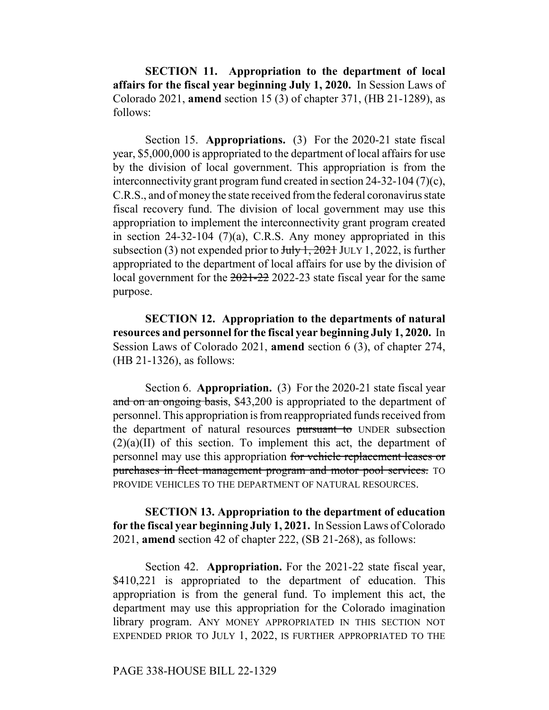**SECTION 11. Appropriation to the department of local affairs for the fiscal year beginning July 1, 2020.** In Session Laws of Colorado 2021, **amend** section 15 (3) of chapter 371, (HB 21-1289), as follows:

Section 15. **Appropriations.** (3) For the 2020-21 state fiscal year, \$5,000,000 is appropriated to the department of local affairs for use by the division of local government. This appropriation is from the interconnectivity grant program fund created in section 24-32-104 (7)(c), C.R.S., and of money the state received from the federal coronavirus state fiscal recovery fund. The division of local government may use this appropriation to implement the interconnectivity grant program created in section 24-32-104 (7)(a), C.R.S. Any money appropriated in this subsection (3) not expended prior to  $J_{\text{uly}}$  1, 2021 JULY 1, 2022, is further appropriated to the department of local affairs for use by the division of local government for the 2021-22 2022-23 state fiscal year for the same purpose.

**SECTION 12. Appropriation to the departments of natural resources and personnel for the fiscal year beginning July 1, 2020.** In Session Laws of Colorado 2021, **amend** section 6 (3), of chapter 274, (HB 21-1326), as follows:

Section 6. **Appropriation.** (3) For the 2020-21 state fiscal year and on an ongoing basis, \$43,200 is appropriated to the department of personnel. This appropriation is from reappropriated funds received from the department of natural resources pursuant to UNDER subsection  $(2)(a)(II)$  of this section. To implement this act, the department of personnel may use this appropriation for vehicle replacement leases or purchases in fleet management program and motor pool services. TO PROVIDE VEHICLES TO THE DEPARTMENT OF NATURAL RESOURCES.

**SECTION 13. Appropriation to the department of education for the fiscal year beginning July 1, 2021.** In Session Laws of Colorado 2021, **amend** section 42 of chapter 222, (SB 21-268), as follows:

Section 42. **Appropriation.** For the 2021-22 state fiscal year, \$410,221 is appropriated to the department of education. This appropriation is from the general fund. To implement this act, the department may use this appropriation for the Colorado imagination library program. ANY MONEY APPROPRIATED IN THIS SECTION NOT EXPENDED PRIOR TO JULY 1, 2022, IS FURTHER APPROPRIATED TO THE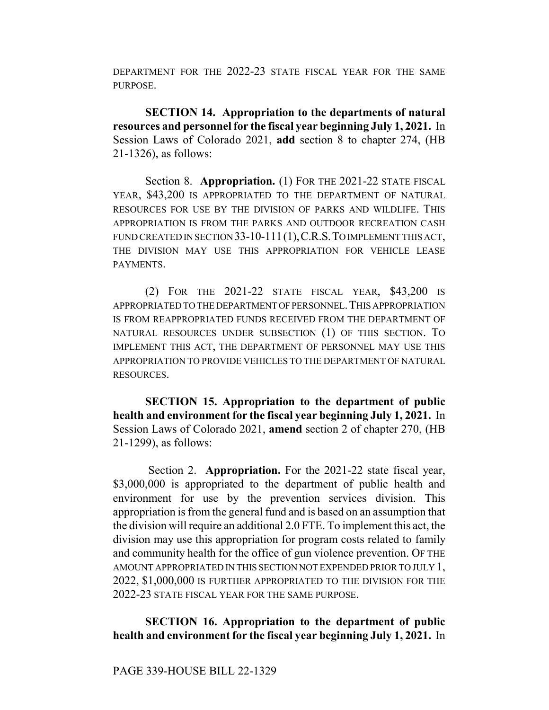DEPARTMENT FOR THE 2022-23 STATE FISCAL YEAR FOR THE SAME PURPOSE.

**SECTION 14. Appropriation to the departments of natural resources and personnel for the fiscal year beginning July 1, 2021.** In Session Laws of Colorado 2021, **add** section 8 to chapter 274, (HB 21-1326), as follows:

Section 8. **Appropriation.** (1) FOR THE 2021-22 STATE FISCAL YEAR, \$43,200 IS APPROPRIATED TO THE DEPARTMENT OF NATURAL RESOURCES FOR USE BY THE DIVISION OF PARKS AND WILDLIFE. THIS APPROPRIATION IS FROM THE PARKS AND OUTDOOR RECREATION CASH FUND CREATED IN SECTION 33-10-111 (1), C.R.S. TO IMPLEMENT THIS ACT, THE DIVISION MAY USE THIS APPROPRIATION FOR VEHICLE LEASE PAYMENTS.

(2) FOR THE 2021-22 STATE FISCAL YEAR, \$43,200 IS APPROPRIATED TO THE DEPARTMENT OF PERSONNEL.THIS APPROPRIATION IS FROM REAPPROPRIATED FUNDS RECEIVED FROM THE DEPARTMENT OF NATURAL RESOURCES UNDER SUBSECTION (1) OF THIS SECTION. TO IMPLEMENT THIS ACT, THE DEPARTMENT OF PERSONNEL MAY USE THIS APPROPRIATION TO PROVIDE VEHICLES TO THE DEPARTMENT OF NATURAL RESOURCES.

**SECTION 15. Appropriation to the department of public health and environment for the fiscal year beginning July 1, 2021.** In Session Laws of Colorado 2021, **amend** section 2 of chapter 270, (HB 21-1299), as follows:

 Section 2. **Appropriation.** For the 2021-22 state fiscal year, \$3,000,000 is appropriated to the department of public health and environment for use by the prevention services division. This appropriation is from the general fund and is based on an assumption that the division will require an additional 2.0 FTE. To implement this act, the division may use this appropriation for program costs related to family and community health for the office of gun violence prevention. OF THE AMOUNT APPROPRIATED IN THIS SECTION NOT EXPENDED PRIOR TO JULY 1, 2022, \$1,000,000 IS FURTHER APPROPRIATED TO THE DIVISION FOR THE 2022-23 STATE FISCAL YEAR FOR THE SAME PURPOSE.

## **SECTION 16. Appropriation to the department of public health and environment for the fiscal year beginning July 1, 2021.** In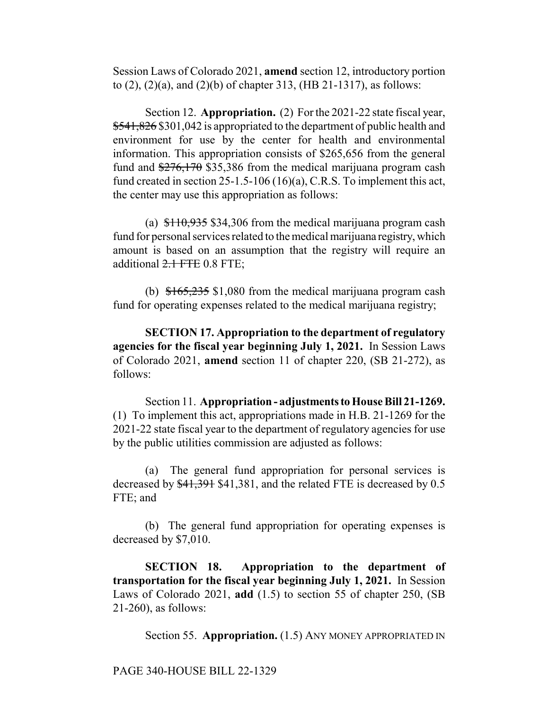Session Laws of Colorado 2021, **amend** section 12, introductory portion to (2), (2)(a), and (2)(b) of chapter 313, (HB 21-1317), as follows:

Section 12. **Appropriation.** (2) For the 2021-22 state fiscal year, \$541,826 \$301,042 is appropriated to the department of public health and environment for use by the center for health and environmental information. This appropriation consists of \$265,656 from the general fund and  $\frac{276,170}{25,386}$  from the medical marijuana program cash fund created in section 25-1.5-106 (16)(a), C.R.S. To implement this act, the center may use this appropriation as follows:

(a)  $$110,935$  \$34,306 from the medical marijuana program cash fund for personal services related to the medical marijuana registry, which amount is based on an assumption that the registry will require an additional  $2.1$  FTE 0.8 FTE;

(b)  $\frac{$165,235}{$1,080}$  from the medical marijuana program cash fund for operating expenses related to the medical marijuana registry;

**SECTION 17. Appropriation to the department of regulatory agencies for the fiscal year beginning July 1, 2021.** In Session Laws of Colorado 2021, **amend** section 11 of chapter 220, (SB 21-272), as follows:

Section 11. **Appropriation - adjustments to House Bill 21-1269.** (1) To implement this act, appropriations made in H.B. 21-1269 for the 2021-22 state fiscal year to the department of regulatory agencies for use by the public utilities commission are adjusted as follows:

(a) The general fund appropriation for personal services is decreased by  $\frac{41,391}{1,381}$ , and the related FTE is decreased by 0.5 FTE; and

(b) The general fund appropriation for operating expenses is decreased by \$7,010.

**SECTION 18. Appropriation to the department of transportation for the fiscal year beginning July 1, 2021.** In Session Laws of Colorado 2021, **add** (1.5) to section 55 of chapter 250, (SB 21-260), as follows:

Section 55. **Appropriation.** (1.5) ANY MONEY APPROPRIATED IN

PAGE 340-HOUSE BILL 22-1329